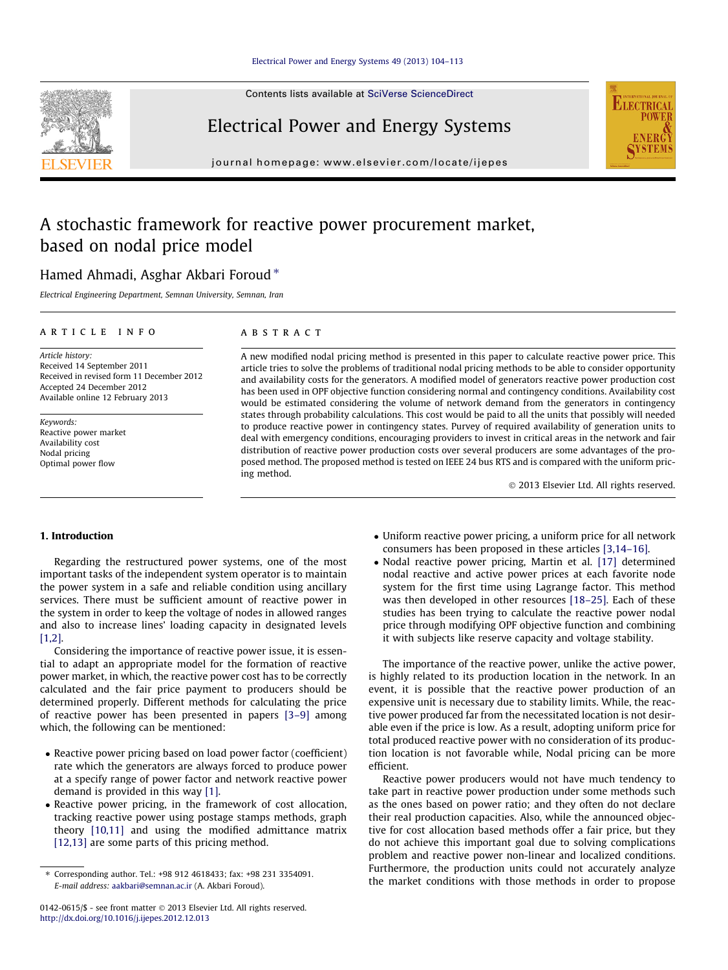Contents lists available at [SciVerse ScienceDirect](http://www.sciencedirect.com/science/journal/01420615)

## Electrical Power and Energy Systems

journal homepage: [www.elsevier.com/locate/ijepes](http://www.elsevier.com/locate/ijepes)

## A stochastic framework for reactive power procurement market, based on nodal price model

### Hamed Ahmadi, Asghar Akbari Foroud  $*$

Electrical Engineering Department, Semnan University, Semnan, Iran

#### article info

Article history: Received 14 September 2011 Received in revised form 11 December 2012 Accepted 24 December 2012 Available online 12 February 2013

Keywords: Reactive power market Availability cost Nodal pricing Optimal power flow

#### ABSTRACT

A new modified nodal pricing method is presented in this paper to calculate reactive power price. This article tries to solve the problems of traditional nodal pricing methods to be able to consider opportunity and availability costs for the generators. A modified model of generators reactive power production cost has been used in OPF objective function considering normal and contingency conditions. Availability cost would be estimated considering the volume of network demand from the generators in contingency states through probability calculations. This cost would be paid to all the units that possibly will needed to produce reactive power in contingency states. Purvey of required availability of generation units to deal with emergency conditions, encouraging providers to invest in critical areas in the network and fair distribution of reactive power production costs over several producers are some advantages of the proposed method. The proposed method is tested on IEEE 24 bus RTS and is compared with the uniform pricing method.

- 2013 Elsevier Ltd. All rights reserved.

**ELECTRICA** 

#### 1. Introduction

Regarding the restructured power systems, one of the most important tasks of the independent system operator is to maintain the power system in a safe and reliable condition using ancillary services. There must be sufficient amount of reactive power in the system in order to keep the voltage of nodes in allowed ranges and also to increase lines' loading capacity in designated levels [1.2].

Considering the importance of reactive power issue, it is essential to adapt an appropriate model for the formation of reactive power market, in which, the reactive power cost has to be correctly calculated and the fair price payment to producers should be determined properly. Different methods for calculating the price of reactive power has been presented in papers [\[3–9\]](#page--1-0) among which, the following can be mentioned:

- Reactive power pricing based on load power factor (coefficient) rate which the generators are always forced to produce power at a specify range of power factor and network reactive power demand is provided in this way [\[1\].](#page--1-0)
- Reactive power pricing, in the framework of cost allocation, tracking reactive power using postage stamps methods, graph theory [\[10,11\]](#page--1-0) and using the modified admittance matrix [\[12,13\]](#page--1-0) are some parts of this pricing method.
- Uniform reactive power pricing, a uniform price for all network consumers has been proposed in these articles [\[3,14–16\]](#page--1-0).
- Nodal reactive power pricing, Martin et al. [\[17\]](#page--1-0) determined nodal reactive and active power prices at each favorite node system for the first time using Lagrange factor. This method was then developed in other resources [\[18–25\]](#page--1-0). Each of these studies has been trying to calculate the reactive power nodal price through modifying OPF objective function and combining it with subjects like reserve capacity and voltage stability.

The importance of the reactive power, unlike the active power, is highly related to its production location in the network. In an event, it is possible that the reactive power production of an expensive unit is necessary due to stability limits. While, the reactive power produced far from the necessitated location is not desirable even if the price is low. As a result, adopting uniform price for total produced reactive power with no consideration of its production location is not favorable while, Nodal pricing can be more efficient.

Reactive power producers would not have much tendency to take part in reactive power production under some methods such as the ones based on power ratio; and they often do not declare their real production capacities. Also, while the announced objective for cost allocation based methods offer a fair price, but they do not achieve this important goal due to solving complications problem and reactive power non-linear and localized conditions. Furthermore, the production units could not accurately analyze the market conditions with those methods in order to propose



<sup>⇑</sup> Corresponding author. Tel.: +98 912 4618433; fax: +98 231 3354091. E-mail address: [aakbari@semnan.ac.ir](mailto:aakbari@semnan.ac.ir) (A. Akbari Foroud).

<sup>0142-0615/\$ -</sup> see front matter © 2013 Elsevier Ltd. All rights reserved. <http://dx.doi.org/10.1016/j.ijepes.2012.12.013>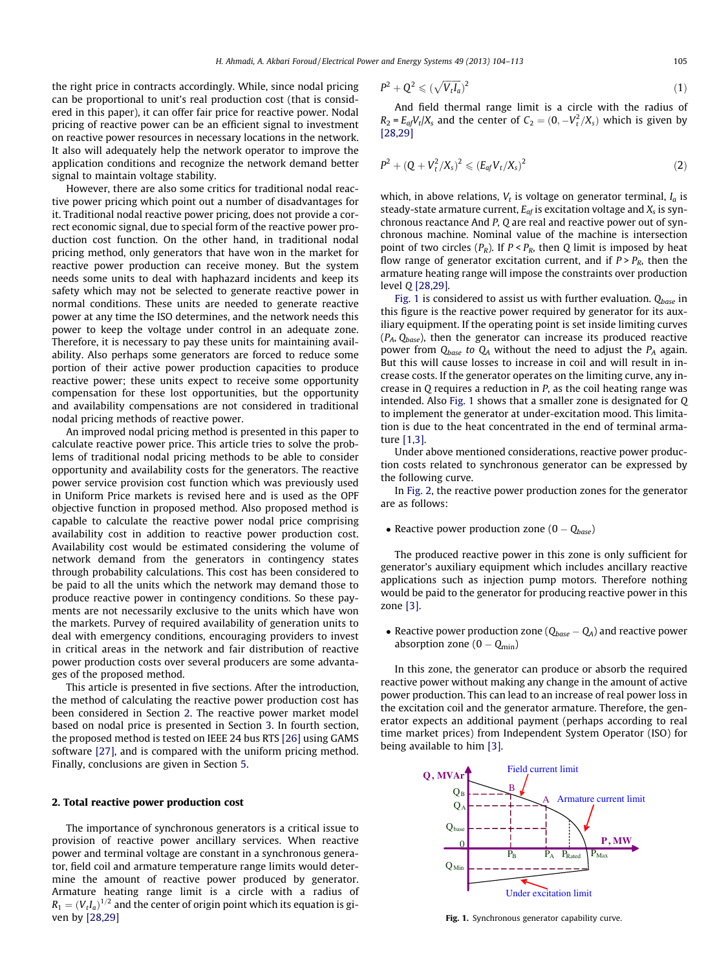the right price in contracts accordingly. While, since nodal pricing can be proportional to unit's real production cost (that is considered in this paper), it can offer fair price for reactive power. Nodal pricing of reactive power can be an efficient signal to investment on reactive power resources in necessary locations in the network. It also will adequately help the network operator to improve the application conditions and recognize the network demand better signal to maintain voltage stability.

However, there are also some critics for traditional nodal reactive power pricing which point out a number of disadvantages for it. Traditional nodal reactive power pricing, does not provide a correct economic signal, due to special form of the reactive power production cost function. On the other hand, in traditional nodal pricing method, only generators that have won in the market for reactive power production can receive money. But the system needs some units to deal with haphazard incidents and keep its safety which may not be selected to generate reactive power in normal conditions. These units are needed to generate reactive power at any time the ISO determines, and the network needs this power to keep the voltage under control in an adequate zone. Therefore, it is necessary to pay these units for maintaining availability. Also perhaps some generators are forced to reduce some portion of their active power production capacities to produce reactive power; these units expect to receive some opportunity compensation for these lost opportunities, but the opportunity and availability compensations are not considered in traditional nodal pricing methods of reactive power.

An improved nodal pricing method is presented in this paper to calculate reactive power price. This article tries to solve the problems of traditional nodal pricing methods to be able to consider opportunity and availability costs for the generators. The reactive power service provision cost function which was previously used in Uniform Price markets is revised here and is used as the OPF objective function in proposed method. Also proposed method is capable to calculate the reactive power nodal price comprising availability cost in addition to reactive power production cost. Availability cost would be estimated considering the volume of network demand from the generators in contingency states through probability calculations. This cost has been considered to be paid to all the units which the network may demand those to produce reactive power in contingency conditions. So these payments are not necessarily exclusive to the units which have won the markets. Purvey of required availability of generation units to deal with emergency conditions, encouraging providers to invest in critical areas in the network and fair distribution of reactive power production costs over several producers are some advantages of the proposed method.

This article is presented in five sections. After the introduction, the method of calculating the reactive power production cost has been considered in Section 2. The reactive power market model based on nodal price is presented in Section [3](#page--1-0). In fourth section, the proposed method is tested on IEEE 24 bus RTS [\[26\]](#page--1-0) using GAMS software [\[27\],](#page--1-0) and is compared with the uniform pricing method. Finally, conclusions are given in Section [5.](#page--1-0)

#### 2. Total reactive power production cost

The importance of synchronous generators is a critical issue to provision of reactive power ancillary services. When reactive power and terminal voltage are constant in a synchronous generator, field coil and armature temperature range limits would determine the amount of reactive power produced by generator. Armature heating range limit is a circle with a radius of  $R_1 = (V_tI_a)^{1/2}$  and the center of origin point which its equation is given by [\[28,29\]](#page--1-0)

$$
P^2 + Q^2 \leqslant (\sqrt{V_t I_a})^2 \tag{1}
$$

And field thermal range limit is a circle with the radius of  $R_2 = E_{af} V_t / X_s$  and the center of  $C_2 = (0, -V_t^2 / X_s)$  which is given by [\[28,29\]](#page--1-0)

$$
P^{2} + (Q + V_{t}^{2}/X_{s})^{2} \leq (E_{af}V_{t}/X_{s})^{2}
$$
\n(2)

which, in above relations,  $V_t$  is voltage on generator terminal,  $I_a$  is steady-state armature current,  $E_{af}$  is excitation voltage and  $X_s$  is synchronous reactance And P, Q are real and reactive power out of synchronous machine. Nominal value of the machine is intersection point of two circles  $(P_R)$ . If  $P < P_R$ , then Q limit is imposed by heat flow range of generator excitation current, and if  $P > P_R$ , then the armature heating range will impose the constraints over production level Q [\[28,29\]](#page--1-0).

Fig. 1 is considered to assist us with further evaluation.  $Q_{base}$  in this figure is the reactive power required by generator for its auxiliary equipment. If the operating point is set inside limiting curves  $(P_A, Q_{base})$ , then the generator can increase its produced reactive power from  $Q_{base}$  to  $Q_A$  without the need to adjust the  $P_A$  again. But this will cause losses to increase in coil and will result in increase costs. If the generator operates on the limiting curve, any increase in Q requires a reduction in P, as the coil heating range was intended. Also Fig. 1 shows that a smaller zone is designated for Q to implement the generator at under-excitation mood. This limitation is due to the heat concentrated in the end of terminal armature [\[1,3\]](#page--1-0).

Under above mentioned considerations, reactive power production costs related to synchronous generator can be expressed by the following curve.

In [Fig. 2](#page--1-0), the reactive power production zones for the generator are as follows:

• Reactive power production zone  $(0 - Q_{base})$ 

The produced reactive power in this zone is only sufficient for generator's auxiliary equipment which includes ancillary reactive applications such as injection pump motors. Therefore nothing would be paid to the generator for producing reactive power in this zone [\[3\].](#page--1-0)

• Reactive power production zone ( $Q_{base} - Q_A$ ) and reactive power absorption zone  $(0 - Q_{min})$ 

In this zone, the generator can produce or absorb the required reactive power without making any change in the amount of active power production. This can lead to an increase of real power loss in the excitation coil and the generator armature. Therefore, the generator expects an additional payment (perhaps according to real time market prices) from Independent System Operator (ISO) for being available to him [\[3\].](#page--1-0)



Fig. 1. Synchronous generator capability curve.